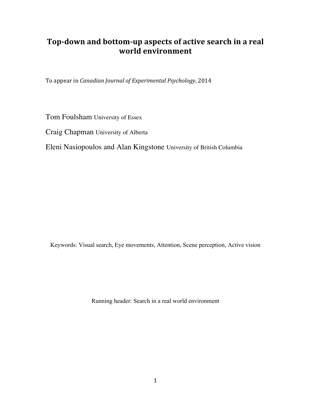# Top-down and bottom-up aspects of active search in a real **world(environment**

To appear in *Canadian Journal of Experimental Psychology*, 2014

Tom Foulsham University of Essex

Craig Chapman University of Alberta

Eleni Nasiopoulos and Alan Kingstone University of British Columbia

Keywords: Visual search, Eye movements, Attention, Scene perception, Active vision

Running header: Search in a real world environment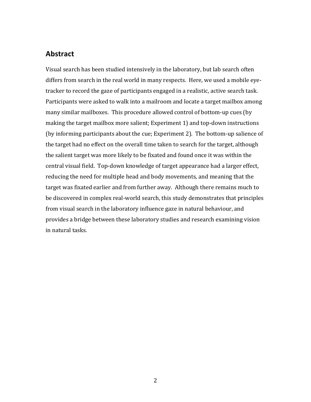### **Abstract**

Visual search has been studied intensively in the laboratory, but lab search often differs from search in the real world in many respects. Here, we used a mobile eyetracker to record the gaze of participants engaged in a realistic, active search task. Participants were asked to walk into a mailroom and locate a target mailbox among many similar mailboxes. This procedure allowed control of bottom-up cues (by making the target mailbox more salient; Experiment 1) and top-down instructions (by informing participants about the cue; Experiment 2). The bottom-up salience of the target had no effect on the overall time taken to search for the target, although the salient target was more likely to be fixated and found once it was within the central visual field. Top-down knowledge of target appearance had a larger effect, reducing the need for multiple head and body movements, and meaning that the target was fixated earlier and from further away. Although there remains much to be discovered in complex real-world search, this study demonstrates that principles from visual search in the laboratory influence gaze in natural behaviour, and provides a bridge between these laboratory studies and research examining vision in natural tasks.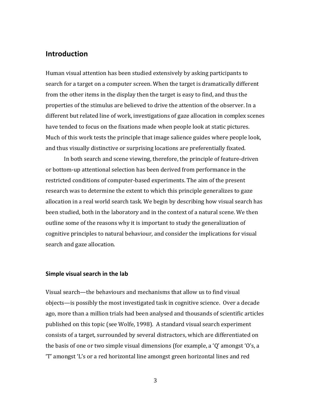### **Introduction**

Human visual attention has been studied extensively by asking participants to search for a target on a computer screen. When the target is dramatically different from the other items in the display then the target is easy to find, and thus the properties of the stimulus are believed to drive the attention of the observer. In a different but related line of work, investigations of gaze allocation in complex scenes" have tended to focus on the fixations made when people look at static pictures. Much of this work tests the principle that image salience guides where people look, and thus visually distinctive or surprising locations are preferentially fixated.

In both search and scene viewing, therefore, the principle of feature-driven or bottom-up attentional selection has been derived from performance in the restricted conditions of computer-based experiments. The aim of the present research was to determine the extent to which this principle generalizes to gaze allocation in a real world search task. We begin by describing how visual search has been studied, both in the laboratory and in the context of a natural scene. We then outline some of the reasons why it is important to study the generalization of cognitive principles to natural behaviour, and consider the implications for visual search and gaze allocation.

### **Simple visual search in the lab**

Visual search—the behaviours and mechanisms that allow us to find visual objects—is possibly the most investigated task in cognitive science. Over a decade ago, more than a million trials had been analysed and thousands of scientific articles published on this topic (see Wolfe, 1998). A standard visual search experiment consists of a target, surrounded by several distractors, which are differentiated on the basis of one or two simple visual dimensions (for example, a 'Q' amongst 'O's, a "T' amongst 'L's or a red horizontal line amongst green horizontal lines and red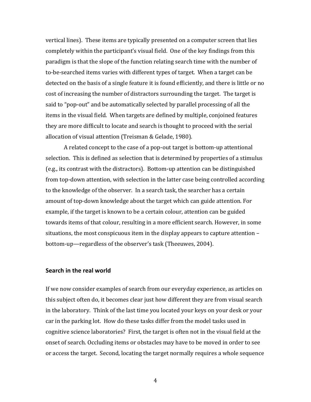vertical lines). These items are typically presented on a computer screen that lies completely within the participant's visual field. One of the key findings from this paradigm is that the slope of the function relating search time with the number of to-be-searched items varies with different types of target. When a target can be detected on the basis of a single feature it is found efficiently, and there is little or no cost of increasing the number of distractors surrounding the target. The target is" said to "pop-out" and be automatically selected by parallel processing of all the items in the visual field. When targets are defined by multiple, conjoined features they are more difficult to locate and search is thought to proceed with the serial allocation of visual attention (Treisman & Gelade, 1980).

A related concept to the case of a pop-out target is bottom-up attentional selection. This is defined as selection that is determined by properties of a stimulus (e.g., its contrast with the distractors). Bottom-up attention can be distinguished from top-down attention, with selection in the latter case being controlled according to the knowledge of the observer. In a search task, the searcher has a certain amount of top-down knowledge about the target which can guide attention. For example, if the target is known to be a certain colour, attention can be guided towards items of that colour, resulting in a more efficient search. However, in some situations, the most conspicuous item in the display appears to capture attention – bottom-up—regardless of the observer's task (Theeuwes, 2004).

### **Search in the real world**

If we now consider examples of search from our everyday experience, as articles on this subject often do, it becomes clear just how different they are from visual search in the laboratory. Think of the last time you located your keys on your desk or your car in the parking lot. How do these tasks differ from the model tasks used in cognitive science laboratories? First, the target is often not in the visual field at the onset of search. Occluding items or obstacles may have to be moved in order to see or access the target. Second, locating the target normally requires a whole sequence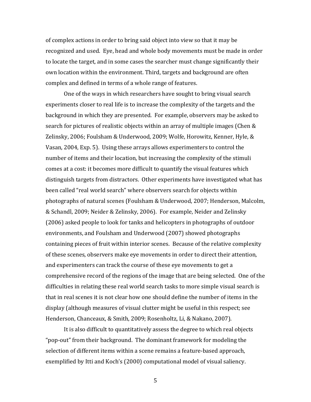of complex actions in order to bring said object into view so that it may be recognized and used. Eye, head and whole body movements must be made in order to locate the target, and in some cases the searcher must change significantly their own location within the environment. Third, targets and background are often complex and defined in terms of a whole range of features.

One of the ways in which researchers have sought to bring visual search experiments closer to real life is to increase the complexity of the targets and the background in which they are presented. For example, observers may be asked to search for pictures of realistic objects within an array of multiple images (Chen  $&$ Zelinsky, 2006; Foulsham & Underwood, 2009; Wolfe, Horowitz, Kenner, Hyle, & Vasan, 2004, Exp. 5). Using these arrays allows experimenters to control the number of items and their location, but increasing the complexity of the stimuli comes at a cost: it becomes more difficult to quantify the visual features which distinguish targets from distractors. Other experiments have investigated what has been called "real world search" where observers search for objects within photographs of natural scenes (Foulsham & Underwood, 2007; Henderson, Malcolm, & Schandl, 2009; Neider & Zelinsky, 2006). For example, Neider and Zelinsky (2006) asked people to look for tanks and helicopters in photographs of outdoor environments, and Foulsham and Underwood (2007) showed photographs containing pieces of fruit within interior scenes. Because of the relative complexity of these scenes, observers make eye movements in order to direct their attention, and experimenters can track the course of these eye movements to get a comprehensive record of the regions of the image that are being selected. One of the difficulties in relating these real world search tasks to more simple visual search is that in real scenes it is not clear how one should define the number of items in the display (although measures of visual clutter might be useful in this respect; see Henderson, Chanceaux, & Smith, 2009; Rosenholtz, Li, & Nakano, 2007).

It is also difficult to quantitatively assess the degree to which real objects "pop-out" from their background. The dominant framework for modeling the selection of different items within a scene remains a feature-based approach, exemplified by Itti and Koch's (2000) computational model of visual saliency.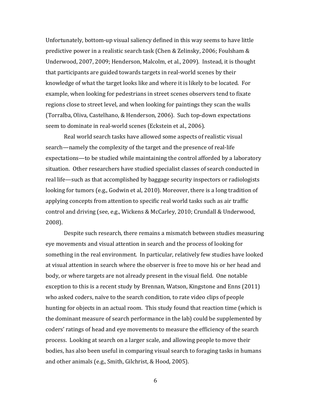Unfortunately, bottom-up visual saliency defined in this way seems to have little predictive power in a realistic search task (Chen & Zelinsky, 2006; Foulsham & Underwood, 2007, 2009; Henderson, Malcolm, et al., 2009). Instead, it is thought that participants are guided towards targets in real-world scenes by their knowledge of what the target looks like and where it is likely to be located. For example, when looking for pedestrians in street scenes observers tend to fixate regions close to street level, and when looking for paintings they scan the walls (Torralba, Oliva, Castelhano, & Henderson, 2006). Such top-down expectations seem to dominate in real-world scenes (Eckstein et al., 2006).

Real world search tasks have allowed some aspects of realistic visual search—namely the complexity of the target and the presence of real-life" expectations—to be studied while maintaining the control afforded by a laboratory situation. Other researchers have studied specialist classes of search conducted in real life—such as that accomplished by baggage security inspectors or radiologists" looking for tumors (e.g., Godwin et al, 2010). Moreover, there is a long tradition of applying concepts from attention to specific real world tasks such as air traffic control and driving (see, e.g., Wickens & McCarley, 2010; Crundall & Underwood, 2008).

Despite such research, there remains a mismatch between studies measuring eye movements and visual attention in search and the process of looking for something in the real environment. In particular, relatively few studies have looked at visual attention in search where the observer is free to move his or her head and body, or where targets are not already present in the visual field. One notable exception to this is a recent study by Brennan, Watson, Kingstone and Enns (2011) who asked coders, naïve to the search condition, to rate video clips of people hunting for objects in an actual room. This study found that reaction time (which is the dominant measure of search performance in the lab) could be supplemented by coders' ratings of head and eye movements to measure the efficiency of the search process. Looking at search on a larger scale, and allowing people to move their bodies, has also been useful in comparing visual search to foraging tasks in humans and other animals (e.g., Smith, Gilchrist, & Hood, 2005).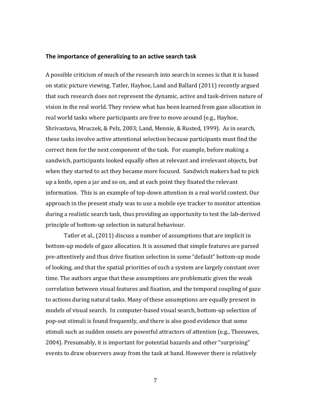#### **The importance of generalizing to an active search task**

A possible criticism of much of the research into search in scenes is that it is based on static picture viewing. Tatler, Hayhoe, Land and Ballard (2011) recently argued that such research does not represent the dynamic, active and task-driven nature of vision in the real world. They review what has been learned from gaze allocation in real world tasks where participants are free to move around (e.g., Hayhoe, Shrivastava, Mruczek, & Pelz, 2003; Land, Mennie, & Rusted, 1999). As in search, these tasks involve active attentional selection because participants must find the correct item for the next component of the task. For example, before making a sandwich, participants looked equally often at relevant and irrelevant objects, but when they started to act they became more focused. Sandwich makers had to pick up a knife, open a jar and so on, and at each point they fixated the relevant information. This is an example of top-down attention in a real world context. Our approach in the present study was to use a mobile eye tracker to monitor attention during a realistic search task, thus providing an opportunity to test the lab-derived principle of bottom-up selection in natural behaviour.

Tatler et al., (2011) discuss a number of assumptions that are implicit in bottom-up models of gaze allocation. It is assumed that simple features are parsed pre-attentively and thus drive fixation selection in some "default" bottom-up mode of looking, and that the spatial priorities of such a system are largely constant over time. The authors argue that these assumptions are problematic given the weak correlation between visual features and fixation, and the temporal coupling of gaze to actions during natural tasks. Many of these assumptions are equally present in models of visual search. In computer-based visual search, bottom-up selection of pop-out stimuli is found frequently, and there is also good evidence that some stimuli such as sudden onsets are powerful attractors of attention (e.g., Theeuwes, 2004). Presumably, it is important for potential hazards and other "surprising" events to draw observers away from the task at hand. However there is relatively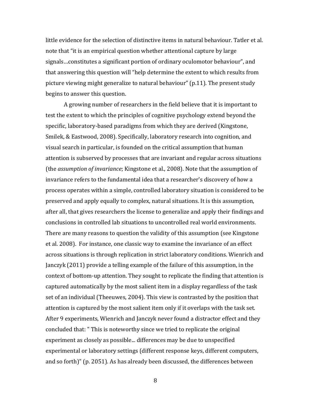little evidence for the selection of distinctive items in natural behaviour. Tatler et al. note that "it is an empirical question whether attentional capture by large signals...constitutes a significant portion of ordinary oculomotor behaviour", and that answering this question will "help determine the extent to which results from picture viewing might generalize to natural behaviour" (p.11). The present study begins to answer this question.

A growing number of researchers in the field believe that it is important to test the extent to which the principles of cognitive psychology extend beyond the specific, laboratory-based paradigms from which they are derived (Kingstone, Smilek, & Eastwood, 2008). Specifically, laboratory research into cognition, and visual search in particular, is founded on the critical assumption that human attention is subserved by processes that are invariant and regular across situations (the *assumption of invariance*; Kingstone et al., 2008). Note that the assumption of invariance refers to the fundamental idea that a researcher's discovery of how a process operates within a simple, controlled laboratory situation is considered to be preserved and apply equally to complex, natural situations. It is this assumption, after all, that gives researchers the license to generalize and apply their findings and conclusions in controlled lab situations to uncontrolled real world environments. There are many reasons to question the validity of this assumption (see Kingstone" et al. 2008). For instance, one classic way to examine the invariance of an effect across situations is through replication in strict laboratory conditions. Wienrich and Janczyk (2011) provide a telling example of the failure of this assumption, in the context of bottom-up attention. They sought to replicate the finding that attention is captured automatically by the most salient item in a display regardless of the task set of an individual (Theeuwes, 2004). This view is contrasted by the position that attention is captured by the most salient item only if it overlaps with the task set. After 9 experiments, Wienrich and Janczyk never found a distractor effect and they concluded that: " This is noteworthy since we tried to replicate the original experiment as closely as possible... differences may be due to unspecified experimental or laboratory settings (different response keys, different computers, and so forth)" (p. 2051). As has already been discussed, the differences between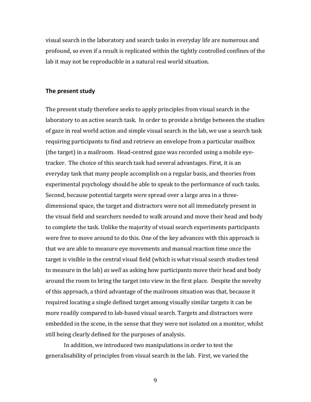visual search in the laboratory and search tasks in everyday life are numerous and profound, so even if a result is replicated within the tightly controlled confines of the lab it may not be reproducible in a natural real world situation.

#### **The present study**

The present study therefore seeks to apply principles from visual search in the laboratory to an active search task. In order to provide a bridge between the studies of gaze in real world action and simple visual search in the lab, we use a search task requiring participants to find and retrieve an envelope from a particular mailbox (the target) in a mailroom. Head-centred gaze was recorded using a mobile eyetracker. The choice of this search task had several advantages. First, it is an everyday task that many people accomplish on a regular basis, and theories from experimental psychology should be able to speak to the performance of such tasks. Second, because potential targets were spread over a large area in a threedimensional space, the target and distractors were not all immediately present in the visual field and searchers needed to walk around and move their head and body to complete the task. Unlike the majority of visual search experiments participants" were free to move around to do this. One of the key advances with this approach is that we are able to measure eye movements and manual reaction time once the target is visible in the central visual field (which is what visual search studies tend to measure in the lab) *as well* as asking how participants move their head and body around the room to bring the target into view in the first place. Despite the novelty of this approach, a third advantage of the mailroom situation was that, because it required locating a single defined target among visually similar targets it can be more readily compared to lab-based visual search. Targets and distractors were embedded in the scene, in the sense that they were not isolated on a monitor, whilst still being clearly defined for the purposes of analysis.

In addition, we introduced two manipulations in order to test the generalisability of principles from visual search in the lab. First, we varied the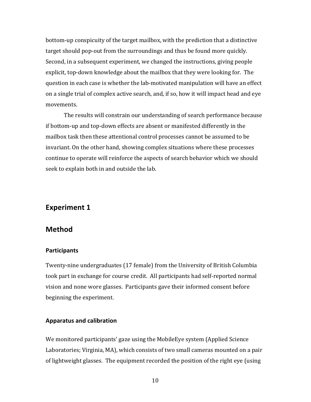bottom-up conspicuity of the target mailbox, with the prediction that a distinctive target should pop-out from the surroundings and thus be found more quickly. Second, in a subsequent experiment, we changed the instructions, giving people explicit, top-down knowledge about the mailbox that they were looking for. The question in each case is whether the lab-motivated manipulation will have an effect on a single trial of complex active search, and, if so, how it will impact head and eye movements.

The results will constrain our understanding of search performance because if bottom-up and top-down effects are absent or manifested differently in the mailbox task then these attentional control processes cannot be assumed to be invariant. On the other hand, showing complex situations where these processes continue to operate will reinforce the aspects of search behavior which we should seek to explain both in and outside the lab.

## **Experiment 1**

### **Method**

#### **Participants**

Twenty-nine undergraduates (17 female) from the University of British Columbia took part in exchange for course credit. All participants had self-reported normal vision and none wore glasses. Participants gave their informed consent before beginning the experiment.

#### **Apparatus!and!calibration**

We monitored participants' gaze using the MobileEye system (Applied Science) Laboratories; Virginia, MA), which consists of two small cameras mounted on a pair of lightweight glasses. The equipment recorded the position of the right eye (using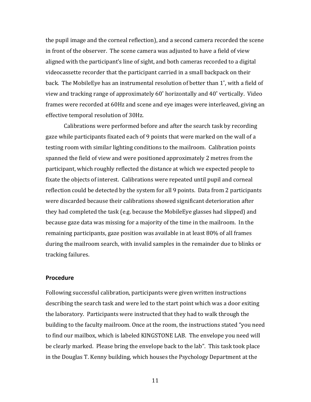the pupil image and the corneal reflection), and a second camera recorded the scene in front of the observer. The scene camera was adjusted to have a field of view aligned with the participant's line of sight, and both cameras recorded to a digital videocassette recorder that the participant carried in a small backpack on their back. The MobileEye has an instrumental resolution of better than  $1\degree$ , with a field of view and tracking range of approximately 60° horizontally and 40° vertically. Video frames were recorded at 60Hz and scene and eye images were interleaved, giving an effective temporal resolution of 30Hz.

Calibrations were performed before and after the search task by recording gaze while participants fixated each of 9 points that were marked on the wall of a testing room with similar lighting conditions to the mailroom. Calibration points" spanned the field of view and were positioned approximately 2 metres from the participant, which roughly reflected the distance at which we expected people to fixate the objects of interest. Calibrations were repeated until pupil and corneal reflection could be detected by the system for all 9 points. Data from 2 participants were discarded because their calibrations showed significant deterioration after they had completed the task (e.g. because the MobileEye glasses had slipped) and because gaze data was missing for a majority of the time in the mailroom. In the remaining participants, gaze position was available in at least 80% of all frames during the mailroom search, with invalid samples in the remainder due to blinks or tracking failures.

#### **Procedure**

Following successful calibration, participants were given written instructions describing the search task and were led to the start point which was a door exiting the laboratory. Participants were instructed that they had to walk through the building to the faculty mailroom. Once at the room, the instructions stated "you need to find our mailbox, which is labeled KINGSTONE LAB. The envelope you need will be clearly marked. Please bring the envelope back to the lab". This task took place in the Douglas T. Kenny building, which houses the Psychology Department at the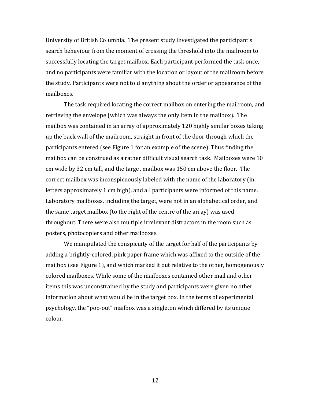University of British Columbia. The present study investigated the participant's search behaviour from the moment of crossing the threshold into the mailroom to successfully locating the target mailbox. Each participant performed the task once, and no participants were familiar with the location or layout of the mailroom before the study. Participants were not told anything about the order or appearance of the mailboxes.

The task required locating the correct mailbox on entering the mailroom, and retrieving the envelope (which was always the only item in the mailbox). The mailbox was contained in an array of approximately 120 highly similar boxes taking up the back wall of the mailroom, straight in front of the door through which the participants entered (see Figure 1 for an example of the scene). Thus finding the mailbox can be construed as a rather difficult visual search task. Mailboxes were 10 cm wide by 32 cm tall, and the target mailbox was 150 cm above the floor. The correct mailbox was inconspicuously labeled with the name of the laboratory (in letters approximately 1 cm high), and all participants were informed of this name. Laboratory mailboxes, including the target, were not in an alphabetical order, and the same target mailbox (to the right of the centre of the array) was used throughout. There were also multiple irrelevant distractors in the room such as posters, photocopiers and other mailboxes.

We manipulated the conspicuity of the target for half of the participants by adding a brightly-colored, pink paper frame which was affixed to the outside of the mailbox (see Figure 1), and which marked it out relative to the other, homogenously colored mailboxes. While some of the mailboxes contained other mail and other items this was unconstrained by the study and participants were given no other information about what would be in the target box. In the terms of experimental psychology, the "pop-out" mailbox was a singleton which differed by its unique colour.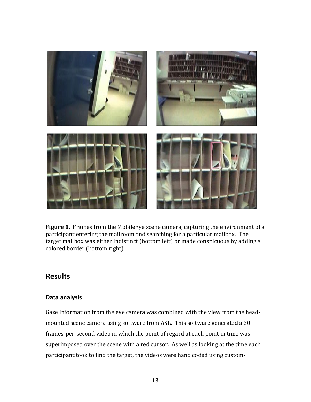

**Figure 1.** Frames from the MobileEye scene camera, capturing the environment of a participant entering the mailroom and searching for a particular mailbox. The target mailbox was either indistinct (bottom left) or made conspicuous by adding a colored border (bottom right).

# **Results**

### **Data!analysis**

Gaze information from the eye camera was combined with the view from the headmounted scene camera using software from ASL. This software generated a 30 frames-per-second video in which the point of regard at each point in time was superimposed over the scene with a red cursor. As well as looking at the time each participant took to find the target, the videos were hand coded using custom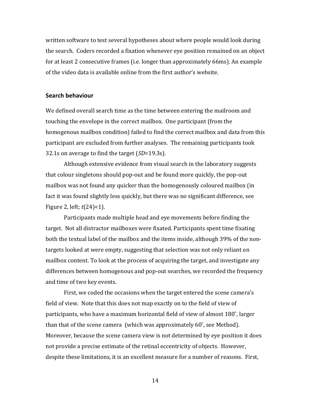written software to test several hypotheses about where people would look during" the search. Coders recorded a fixation whenever eye position remained on an object for at least 2 consecutive frames (i.e. longer than approximately 66ms). An example of the video data is available online from the first author's website.

### **Search!behaviour**

We defined overall search time as the time between entering the mailroom and touching the envelope in the correct mailbox. One participant (from the homogenous mailbox condition) failed to find the correct mailbox and data from this participant are excluded from further analyses. The remaining participants took 32.1s on average to find the target (*SD*=19.3s).

Although extensive evidence from visual search in the laboratory suggests that colour singletons should pop-out and be found more quickly, the pop-out mailbox was not found any quicker than the homogenously coloured mailbox (in fact it was found slightly less quickly, but there was no significant difference, see Figure 2, left;  $t(24)$  < 1).

Participants made multiple head and eye movements before finding the target. Not all distractor mailboxes were fixated. Participants spent time fixating both the textual label of the mailbox and the items inside, although 39% of the nontargets looked at were empty, suggesting that selection was not only reliant on mailbox content. To look at the process of acquiring the target, and investigate any differences between homogenous and pop-out searches, we recorded the frequency and time of two key events.

First, we coded the occasions when the target entered the scene camera's field of view. Note that this does not map exactly on to the field of view of participants, who have a maximum horizontal field of view of almost 180<sup>°</sup>, larger than that of the scene camera (which was approximately  $60^\circ$ , see Method). Moreover, because the scene camera view is not determined by eye position it does not provide a precise estimate of the retinal eccentricity of objects. However, despite these limitations, it is an excellent measure for a number of reasons. First,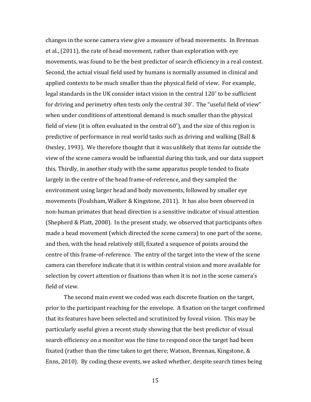changes in the scene camera view give a measure of head movements. In Brennan et al., (2011), the rate of head movement, rather than exploration with eye movements, was found to be the best predictor of search efficiency in a real context. Second, the actual visual field used by humans is normally assumed in clinical and applied contexts to be much smaller than the physical field of view. For example, legal standards in the UK consider intact vision in the central  $120^\circ$  to be sufficient for driving and perimetry often tests only the central 30°. The "useful field of view" when under conditions of attentional demand is much smaller than the physical field of view (it is often evaluated in the central  $60^\circ$ ), and the size of this region is predictive of performance in real world tasks such as driving and walking (Ball  $&$ Owsley, 1993). We therefore thought that it was unlikely that items far outside the view of the scene camera would be influential during this task, and our data support this. Thirdly, in another study with the same apparatus people tended to fixate largely in the centre of the head frame-of-reference, and they sampled the environment using larger head and body movements, followed by smaller eye" movements (Foulsham, Walker & Kingstone, 2011). It has also been observed in non-human primates that head direction is a sensitive indicator of visual attention (Shepherd & Platt, 2008). In the present study, we observed that participants often made a head movement (which directed the scene camera) to one part of the scene, and then, with the head relatively still, fixated a sequence of points around the centre of this frame-of-reference. The entry of the target into the view of the scene" camera can therefore indicate that it is within central vision and more available for selection by covert attention or fixations than when it is not in the scene camera's field of view.

The second main event we coded was each discrete fixation on the target, prior to the participant reaching for the envelope. A fixation on the target confirmed that its features have been selected and scrutinized by foveal vision. This may be" particularly useful given a recent study showing that the best predictor of visual search efficiency on a monitor was the time to respond once the target had been fixated (rather than the time taken to get there; Watson, Brennan, Kingstone,  $&$ Enns, 2010). By coding these events, we asked whether, despite search times being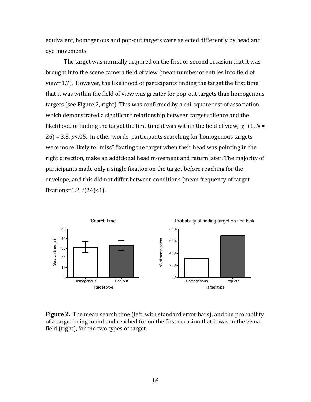equivalent, homogenous and pop-out targets were selected differently by head and eye movements.

The target was normally acquired on the first or second occasion that it was brought into the scene camera field of view (mean number of entries into field of  $view=1.7$ ). However, the likelihood of participants finding the target the first time that it was within the field of view was greater for pop-out targets than homogenous targets (see Figure 2, right). This was confirmed by a chi-square test of association which demonstrated a significant relationship between target salience and the likelihood of finding the target the first time it was within the field of view,  $x^2$  (1,  $N =$  $26$ ) = 3.8,  $p$ <.05. In other words, participants searching for homogenous targets were more likely to "miss" fixating the target when their head was pointing in the right direction, make an additional head movement and return later. The majority of participants made only a single fixation on the target before reaching for the envelope, and this did not differ between conditions (mean frequency of target) fixations=1.2,"*t*(24)<1).



**Figure 2.** The mean search time (left, with standard error bars), and the probability of a target being found and reached for on the first occasion that it was in the visual field (right), for the two types of target.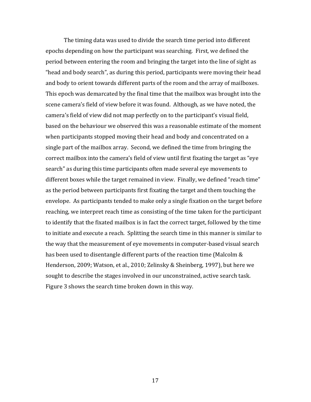The timing data was used to divide the search time period into different epochs depending on how the participant was searching. First, we defined the period between entering the room and bringing the target into the line of sight as "head and body search", as during this period, participants were moving their head and body to orient towards different parts of the room and the array of mailboxes. This epoch was demarcated by the final time that the mailbox was brought into the scene camera's field of view before it was found. Although, as we have noted, the camera's field of view did not map perfectly on to the participant's visual field, based on the behaviour we observed this was a reasonable estimate of the moment when participants stopped moving their head and body and concentrated on a single part of the mailbox array. Second, we defined the time from bringing the correct mailbox into the camera's field of view until first fixating the target as "eye" search" as during this time participants often made several eye movements to different boxes while the target remained in view. Finally, we defined "reach time" as the period between participants first fixating the target and them touching the envelope. As participants tended to make only a single fixation on the target before reaching, we interpret reach time as consisting of the time taken for the participant to identify that the fixated mailbox is in fact the correct target, followed by the time to initiate and execute a reach. Splitting the search time in this manner is similar to the way that the measurement of eye movements in computer-based visual search has been used to disentangle different parts of the reaction time (Malcolm  $&$ Henderson, 2009; Watson, et al., 2010; Zelinsky & Sheinberg, 1997), but here we sought to describe the stages involved in our unconstrained, active search task. Figure 3 shows the search time broken down in this way.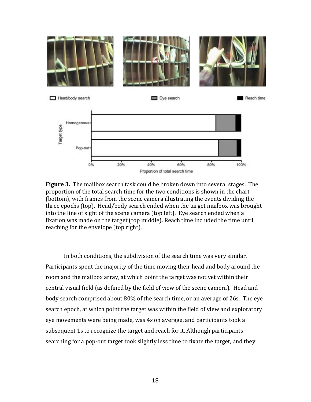

**Figure 3.** The mailbox search task could be broken down into several stages. The proportion of the total search time for the two conditions is shown in the chart (bottom), with frames from the scene camera illustrating the events dividing the three epochs (top). Head/body search ended when the target mailbox was brought into the line of sight of the scene camera (top left). Eye search ended when a fixation was made on the target (top middle). Reach time included the time until reaching for the envelope (top right).

In both conditions, the subdivision of the search time was very similar. Participants spent the majority of the time moving their head and body around the room and the mailbox array, at which point the target was not yet within their central visual field (as defined by the field of view of the scene camera). Head and body search comprised about 80% of the search time, or an average of 26s. The eye search epoch, at which point the target was within the field of view and exploratory eye movements were being made, was 4s on average, and participants took a subsequent 1s to recognize the target and reach for it. Although participants searching for a pop-out target took slightly less time to fixate the target, and they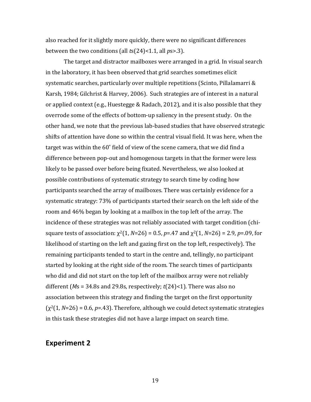also reached for it slightly more quickly, there were no significant differences between the two conditions (all *ts*(24)<1.1, all *ps*>.3).

The target and distractor mailboxes were arranged in a grid. In visual search in the laboratory, it has been observed that grid searches sometimes elicit systematic searches, particularly over multiple repetitions (Scinto, Pillalamarri & Karsh, 1984; Gilchrist & Harvey, 2006). Such strategies are of interest in a natural or applied context (e.g., Huestegge & Radach, 2012), and it is also possible that they overrode some of the effects of bottom-up saliency in the present study. On the other hand, we note that the previous lab-based studies that have observed strategic shifts of attention have done so within the central visual field. It was here, when the target was within the 60° field of view of the scene camera, that we did find a difference between pop-out and homogenous targets in that the former were less likely to be passed over before being fixated. Nevertheless, we also looked at possible contributions of systematic strategy to search time by coding how participants searched the array of mailboxes. There was certainly evidence for a systematic strategy: 73% of participants started their search on the left side of the room and 46% began by looking at a mailbox in the top left of the array. The incidence of these strategies was not reliably associated with target condition (chisquare tests of association:  $\chi^2(1, N=26) = 0.5$ ,  $p=.47$  and  $\chi^2(1, N=26) = 2.9$ ,  $p=.09$ , for likelihood of starting on the left and gazing first on the top left, respectively). The remaining participants tended to start in the centre and, tellingly, no participant started by looking at the right side of the room. The search times of participants who did and did not start on the top left of the mailbox array were not reliably different ( $Ms = 34.8s$  and 29.8s, respectively;  $t(24)$ <1). There was also no association between this strategy and finding the target on the first opportunity  $(\chi^2(1, N=26) = 0.6, p=.43)$ . Therefore, although we could detect systematic strategies in this task these strategies did not have a large impact on search time.

### **Experiment 2**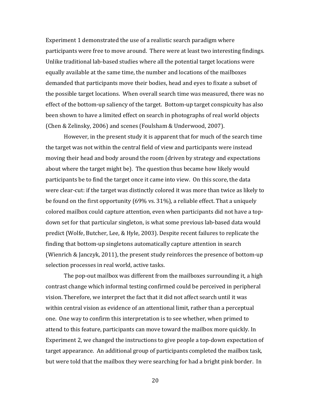Experiment 1 demonstrated the use of a realistic search paradigm where participants were free to move around. There were at least two interesting findings. Unlike traditional lab-based studies where all the potential target locations were equally available at the same time, the number and locations of the mailboxes demanded that participants move their bodies, head and eyes to fixate a subset of the possible target locations. When overall search time was measured, there was no effect of the bottom-up saliency of the target. Bottom-up target conspicuity has also been shown to have a limited effect on search in photographs of real world objects (Chen & Zelinsky, 2006) and scenes (Foulsham & Underwood, 2007).

However, in the present study it is apparent that for much of the search time the target was not within the central field of view and participants were instead moving their head and body around the room (driven by strategy and expectations") about where the target might be). The question thus became how likely would participants be to find the target once it came into view. On this score, the data were clear-cut: if the target was distinctly colored it was more than twice as likely to be found on the first opportunity (69% vs.  $31\%$ ), a reliable effect. That a uniquely colored mailbox could capture attention, even when participants did not have a topdown set for that particular singleton, is what some previous lab-based data would predict (Wolfe, Butcher, Lee, & Hyle, 2003). Despite recent failures to replicate the finding that bottom-up singletons automatically capture attention in search (Wienrich & Janczyk, 2011), the present study reinforces the presence of bottom-up" selection processes in real world, active tasks.

The pop-out mailbox was different from the mailboxes surrounding it, a high contrast change which informal testing confirmed could be perceived in peripheral vision. Therefore, we interpret the fact that it did not affect search until it was within central vision as evidence of an attentional limit, rather than a perceptual one. One way to confirm this interpretation is to see whether, when primed to attend to this feature, participants can move toward the mailbox more quickly. In Experiment 2, we changed the instructions to give people a top-down expectation of target appearance. An additional group of participants completed the mailbox task, but were told that the mailbox they were searching for had a bright pink border. In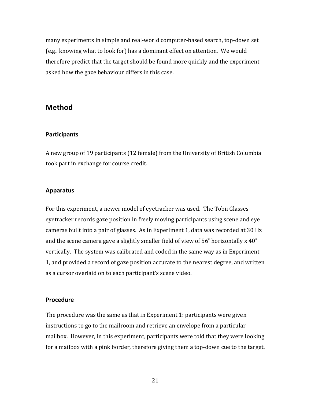many experiments in simple and real-world computer-based search, top-down set (e.g., knowing what to look for) has a dominant effect on attention. We would therefore predict that the target should be found more quickly and the experiment asked how the gaze behaviour differs in this case.

### **Method**

### **Participants**

A new group of 19 participants (12 female) from the University of British Columbia took part in exchange for course credit.

#### **Apparatus**

For this experiment, a newer model of eyetracker was used. The Tobii Glasses eyetracker records gaze position in freely moving participants using scene and eye cameras built into a pair of glasses. As in Experiment 1, data was recorded at 30 Hz and the scene camera gave a slightly smaller field of view of  $56°$  horizontally x  $40°$ vertically. The system was calibrated and coded in the same way as in Experiment 1, and provided a record of gaze position accurate to the nearest degree, and written as a cursor overlaid on to each participant's scene video.

#### **Procedure**

The procedure was the same as that in Experiment 1: participants were given instructions to go to the mailroom and retrieve an envelope from a particular mailbox. However, in this experiment, participants were told that they were looking for a mailbox with a pink border, therefore giving them a top-down cue to the target.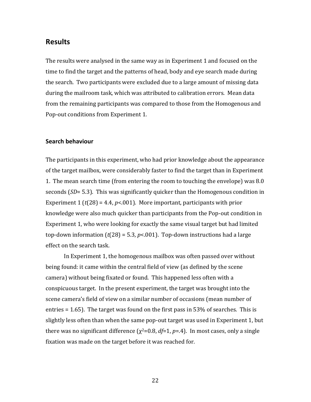### **Results**

The results were analysed in the same way as in Experiment 1 and focused on the time to find the target and the patterns of head, body and eye search made during the search. Two participants were excluded due to a large amount of missing data during the mailroom task, which was attributed to calibration errors. Mean data from the remaining participants was compared to those from the Homogenous and Pop-out conditions from Experiment 1.

### **Search!behaviour**

The participants in this experiment, who had prior knowledge about the appearance of the target mailbox, were considerably faster to find the target than in Experiment 1. The mean search time (from entering the room to touching the envelope) was 8.0 seconds (*SD*= 5.3). This was significantly quicker than the Homogenous condition in Experiment 1 ( $t(28) = 4.4$ ,  $p < 001$ ). More important, participants with prior knowledge were also much quicker than participants from the Pop-out condition in Experiment 1, who were looking for exactly the same visual target but had limited top-down information  $(t(28) = 5.3, p<0.01)$ . Top-down instructions had a large effect on the search task.

In Experiment 1, the homogenous mailbox was often passed over without being found: it came within the central field of view (as defined by the scene" camera) without being fixated or found. This happened less often with a conspicuous target. In the present experiment, the target was brought into the scene camera's field of view on a similar number of occasions (mean number of entries  $= 1.65$ ). The target was found on the first pass in 53% of searches. This is slightly less often than when the same pop-out target was used in Experiment 1, but there was no significant difference ( $\chi^2$ =0.8, *df*=1, *p*=.4). In most cases, only a single fixation was made on the target before it was reached for.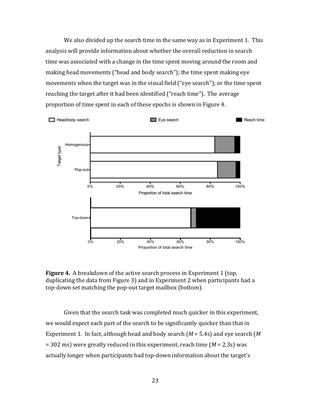We also divided up the search time in the same way as in Experiment 1. This analysis will provide information about whether the overall reduction in search time was associated with a change in the time spent moving around the room and making head movements ("head and body search"); the time spent making eye movements when the target was in the visual field ("eye search"); or the time spent reaching the target after it had been identified ("reach time"). The average proportion of time spent in each of these epochs is shown in Figure 4.





Given that the search task was completed much quicker in this experiment, we would expect each part of the search to be significantly quicker than that in Experiment 1. In fact, although head and body search  $(M = 5.4s)$  and eye search  $(M$  $=$  302 ms) were greatly reduced in this experiment, reach time ( $M = 2.3$ s) was actually longer when participants had top-down information about the target's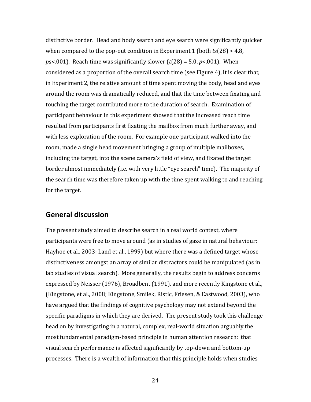distinctive border. Head and body search and eye search were significantly quicker when compared to the pop-out condition in Experiment 1 (both  $ts(28) > 4.8$ )  $p$ s<.001). Reach time was significantly slower ( $t$ (28) = 5.0,  $p$ <.001). When considered as a proportion of the overall search time (see Figure 4), it is clear that, in Experiment 2, the relative amount of time spent moving the body, head and eyes around the room was dramatically reduced, and that the time between fixating and touching the target contributed more to the duration of search. Examination of participant behaviour in this experiment showed that the increased reach time resulted from participants first fixating the mailbox from much further away, and with less exploration of the room. For example one participant walked into the room, made a single head movement bringing a group of multiple mailboxes, including the target, into the scene camera's field of view, and fixated the target border almost immediately (i.e. with very little "eye search" time). The majority of the search time was therefore taken up with the time spent walking to and reaching" for the target.

### **General!discussion**

The present study aimed to describe search in a real world context, where participants were free to move around (as in studies of gaze in natural behaviour: Hayhoe et al., 2003; Land et al., 1999) but where there was a defined target whose distinctiveness amongst an array of similar distractors could be manipulated (as in lab studies of visual search). More generally, the results begin to address concerns expressed by Neisser (1976), Broadbent (1991), and more recently Kingstone et al., (Kingstone, et al., 2008; Kingstone, Smilek, Ristic, Friesen, & Eastwood, 2003), who have argued that the findings of cognitive psychology may not extend beyond the specific paradigms in which they are derived. The present study took this challenge head on by investigating in a natural, complex, real-world situation arguably the most fundamental paradigm-based principle in human attention research: that visual search performance is affected significantly by top-down and bottom-up processes. There is a wealth of information that this principle holds when studies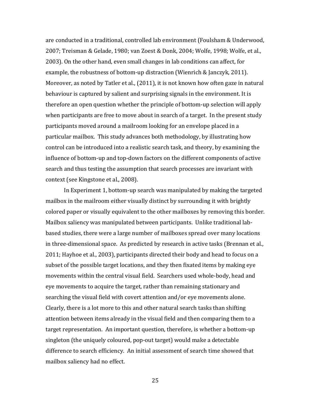are conducted in a traditional, controlled lab environment (Foulsham & Underwood, 2007; Treisman & Gelade, 1980; van Zoest & Donk, 2004; Wolfe, 1998; Wolfe, et al., 2003). On the other hand, even small changes in lab conditions can affect, for example, the robustness of bottom-up distraction (Wienrich & Janczyk, 2011). Moreover, as noted by Tatler et al., (2011), it is not known how often gaze in natural behaviour is captured by salient and surprising signals in the environment. It is therefore an open question whether the principle of bottom-up selection will apply when participants are free to move about in search of a target. In the present study participants moved around a mailroom looking for an envelope placed in a particular mailbox. This study advances both methodology, by illustrating how control can be introduced into a realistic search task, and theory, by examining the influence of bottom-up and top-down factors on the different components of active search and thus testing the assumption that search processes are invariant with context (see Kingstone et al., 2008).

In Experiment 1, bottom-up search was manipulated by making the targeted mailbox in the mailroom either visually distinct by surrounding it with brightly colored paper or visually equivalent to the other mailboxes by removing this border. Mailbox saliency was manipulated between participants. Unlike traditional labbased studies, there were a large number of mailboxes spread over many locations" in three-dimensional space. As predicted by research in active tasks (Brennan et al., 2011; Hayhoe et al., 2003), participants directed their body and head to focus on a subset of the possible target locations, and they then fixated items by making eye movements within the central visual field. Searchers used whole-body, head and eye movements to acquire the target, rather than remaining stationary and searching the visual field with covert attention and/or eye movements alone. Clearly, there is a lot more to this and other natural search tasks than shifting attention between items already in the visual field and then comparing them to a target representation. An important question, therefore, is whether a bottom-up" singleton (the uniquely coloured, pop-out target) would make a detectable difference to search efficiency. An initial assessment of search time showed that mailbox saliency had no effect.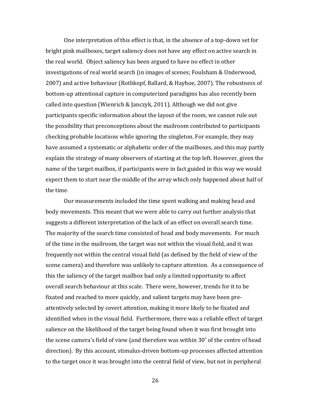One interpretation of this effect is that, in the absence of a top-down set for bright pink mailboxes, target saliency does not have any effect on active search in the real world. Object saliency has been argued to have no effect in other investigations of real world search (in images of scenes; Foulsham & Underwood, 2007) and active behaviour (Rothkopf, Ballard, & Hayhoe, 2007). The robustness of bottom-up attentional capture in computerized paradigms has also recently been called into question (Wienrich & Janczyk, 2011). Although we did not give participants specific information about the layout of the room, we cannot rule out the possibility that preconceptions about the mailroom contributed to participants" checking probable locations while ignoring the singleton. For example, they may have assumed a systematic or alphabetic order of the mailboxes, and this may partly explain the strategy of many observers of starting at the top left. However, given the name of the target mailbox, if participants were in fact guided in this way we would expect them to start near the middle of the array which only happened about half of the time.

Our measurements included the time spent walking and making head and body movements. This meant that we were able to carry out further analysis that suggests a different interpretation of the lack of an effect on overall search time. The majority of the search time consisted of head and body movements. For much of the time in the mailroom, the target was not within the visual field, and it was frequently not within the central visual field (as defined by the field of view of the scene camera) and therefore was unlikely to capture attention. As a consequence of this the saliency of the target mailbox had only a limited opportunity to affect overall search behaviour at this scale. There were, however, trends for it to be fixated and reached to more quickly, and salient targets may have been preattentively selected by covert attention, making it more likely to be fixated and identified when in the visual field. Furthermore, there was a reliable effect of target salience on the likelihood of the target being found when it was first brought into the scene camera's field of view (and therefore was within 30° of the centre of head" direction). By this account, stimulus-driven bottom-up processes affected attention to the target once it was brought into the central field of view, but not in peripheral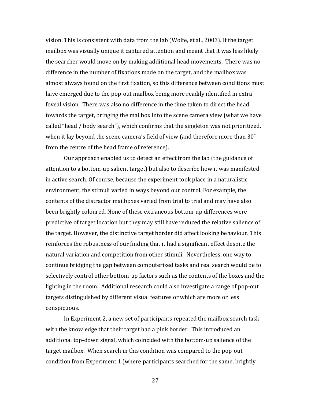vision. This is consistent with data from the lab (Wolfe, et al., 2003). If the target mailbox was visually unique it captured attention and meant that it was less likely the searcher would move on by making additional head movements. There was no difference in the number of fixations made on the target, and the mailbox was almost always found on the first fixation, so this difference between conditions must have emerged due to the pop-out mailbox being more readily identified in extrafoveal vision. There was also no difference in the time taken to direct the head towards the target, bringing the mailbox into the scene camera view (what we have called "head / body search"), which confirms that the singleton was not prioritized, when it lay beyond the scene camera's field of view (and therefore more than 30° from the centre of the head frame of reference).

Our approach enabled us to detect an effect from the lab (the guidance of attention to a bottom-up salient target) but also to describe how it was manifested in active search. Of course, because the experiment took place in a naturalistic environment, the stimuli varied in ways beyond our control. For example, the contents of the distractor mailboxes varied from trial to trial and may have also been brightly coloured. None of these extraneous bottom-up differences were predictive of target location but they may still have reduced the relative salience of the target. However, the distinctive target border did affect looking behaviour. This reinforces the robustness of our finding that it had a significant effect despite the natural variation and competition from other stimuli. Nevertheless, one way to continue bridging the gap between computerized tasks and real search would be to selectively control other bottom-up factors such as the contents of the boxes and the lighting in the room. Additional research could also investigate a range of pop-out targets distinguished by different visual features or which are more or less conspicuous.

In Experiment 2, a new set of participants repeated the mailbox search task with the knowledge that their target had a pink border. This introduced an additional top-down signal, which coincided with the bottom-up salience of the target mailbox. When search in this condition was compared to the pop-out condition from Experiment 1 (where participants searched for the same, brightly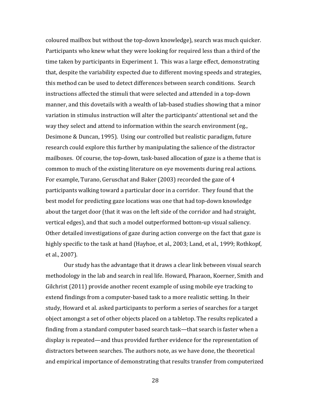coloured mailbox but without the top-down knowledge), search was much quicker. Participants who knew what they were looking for required less than a third of the time taken by participants in Experiment 1. This was a large effect, demonstrating that, despite the variability expected due to different moving speeds and strategies, this method can be used to detect differences between search conditions. Search instructions affected the stimuli that were selected and attended in a top-down manner, and this dovetails with a wealth of lab-based studies showing that a minor variation in stimulus instruction will alter the participants' attentional set and the way they select and attend to information within the search environment (eg., Desimone & Duncan, 1995). Using our controlled but realistic paradigm, future research could explore this further by manipulating the salience of the distractor mailboxes. Of course, the top-down, task-based allocation of gaze is a theme that is common to much of the existing literature on eye movements during real actions. For example, Turano, Geruschat and Baker (2003) recorded the gaze of 4 participants walking toward a particular door in a corridor. They found that the best model for predicting gaze locations was one that had top-down knowledge about the target door (that it was on the left side of the corridor and had straight, vertical edges), and that such a model outperformed bottom-up visual saliency. Other detailed investigations of gaze during action converge on the fact that gaze is highly specific to the task at hand (Hayhoe, et al., 2003; Land, et al., 1999; Rothkopf, et al., 2007).

Our study has the advantage that it draws a clear link between visual search methodology in the lab and search in real life. Howard, Pharaon, Koerner, Smith and Gilchrist (2011) provide another recent example of using mobile eye tracking to extend findings from a computer-based task to a more realistic setting. In their study, Howard et al. asked participants to perform a series of searches for a target object amongst a set of other objects placed on a tabletop. The results replicated a finding from a standard computer based search task—that search is faster when a display is repeated—and thus provided further evidence for the representation of distractors between searches. The authors note, as we have done, the theoretical and empirical importance of demonstrating that results transfer from computerized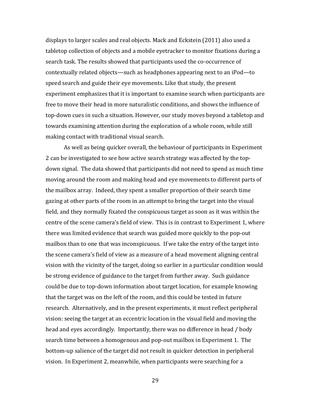displays to larger scales and real objects. Mack and Eckstein (2011) also used a tabletop collection of objects and a mobile eyetracker to monitor fixations during a search task. The results showed that participants used the co-occurrence of contextually related objects—such as headphones appearing next to an iPod—to speed search and guide their eye movements. Like that study, the present experiment emphasizes that it is important to examine search when participants are free to move their head in more naturalistic conditions, and shows the influence of top-down cues in such a situation. However, our study moves beyond a tabletop and towards examining attention during the exploration of a whole room, while still making contact with traditional visual search.

As well as being quicker overall, the behaviour of participants in Experiment 2 can be investigated to see how active search strategy was affected by the topdown signal. The data showed that participants did not need to spend as much time moving around the room and making head and eye movements to different parts of the mailbox array. Indeed, they spent a smaller proportion of their search time gazing at other parts of the room in an attempt to bring the target into the visual field, and they normally fixated the conspicuous target as soon as it was within the centre of the scene camera's field of view. This is in contrast to Experiment 1, where there was limited evidence that search was guided more quickly to the pop-out mailbox than to one that was inconspicuous. If we take the entry of the target into the scene camera's field of view as a measure of a head movement aligning central vision with the vicinity of the target, doing so earlier in a particular condition would be strong evidence of guidance to the target from further away. Such guidance could be due to top-down information about target location, for example knowing" that the target was on the left of the room, and this could be tested in future research. Alternatively, and in the present experiments, it must reflect peripheral vision: seeing the target at an eccentric location in the visual field and moving the head and eyes accordingly. Importantly, there was no difference in head / body search time between a homogenous and pop-out mailbox in Experiment 1. The bottom-up salience of the target did not result in quicker detection in peripheral vision. In Experiment 2, meanwhile, when participants were searching for a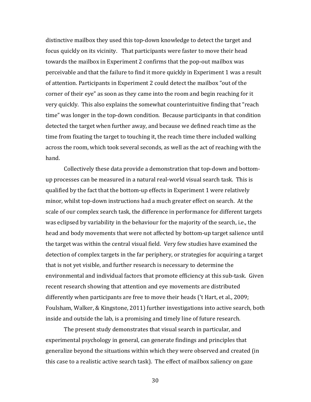distinctive mailbox they used this top-down knowledge to detect the target and focus quickly on its vicinity. That participants were faster to move their head towards the mailbox in Experiment 2 confirms that the pop-out mailbox was perceivable and that the failure to find it more quickly in Experiment 1 was a result of attention. Participants in Experiment 2 could detect the mailbox "out of the corner of their eye" as soon as they came into the room and begin reaching for it very quickly. This also explains the somewhat counterintuitive finding that "reach" time" was longer in the top-down condition. Because participants in that condition detected the target when further away, and because we defined reach time as the time from fixating the target to touching it, the reach time there included walking across the room, which took several seconds, as well as the act of reaching with the hand.

Collectively these data provide a demonstration that top-down and bottomup processes can be measured in a natural real-world visual search task. This is qualified by the fact that the bottom-up effects in Experiment 1 were relatively minor, whilst top-down instructions had a much greater effect on search. At the scale of our complex search task, the difference in performance for different targets was eclipsed by variability in the behaviour for the majority of the search, i.e., the head and body movements that were not affected by bottom-up target salience until the target was within the central visual field. Very few studies have examined the detection of complex targets in the far periphery, or strategies for acquiring a target that is not yet visible, and further research is necessary to determine the environmental and individual factors that promote efficiency at this sub-task. Given recent research showing that attention and eye movements are distributed differently when participants are free to move their heads ('t Hart, et al., 2009; Foulsham, Walker, & Kingstone, 2011) further investigations into active search, both inside and outside the lab, is a promising and timely line of future research.

The present study demonstrates that visual search in particular, and experimental psychology in general, can generate findings and principles that generalize beyond the situations within which they were observed and created (in this case to a realistic active search task). The effect of mailbox saliency on gaze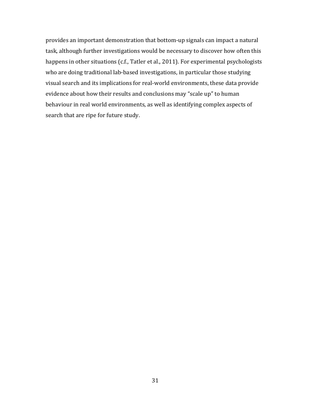provides an important demonstration that bottom-up signals can impact a natural task, although further investigations would be necessary to discover how often this happens in other situations (c.f., Tatler et al., 2011). For experimental psychologists who are doing traditional lab-based investigations, in particular those studying visual search and its implications for real-world environments, these data provide evidence about how their results and conclusions may "scale up" to human behaviour in real world environments, as well as identifying complex aspects of search that are ripe for future study.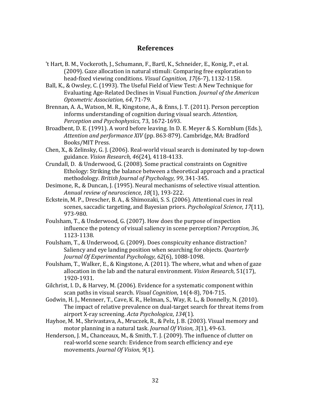### **References**

- 't Hart, B. M., Vockeroth, J., Schumann, F., Bartl, K., Schneider, E., Konig, P., et al. (2009). Gaze allocation in natural stimuli: Comparing free exploration to head-fixed viewing conditions. *Visual Cognition, 17*(6-7), 1132-1158.
- Ball, K., & Owsley, C. (1993). The Useful Field of View Test: A New Technique for Evaluating Age-Related Declines in Visual Function. *Journal of the American Optometric Association, 64, 71-79.*

Brennan, A. A., Watson, M. R., Kingstone, A., & Enns, J. T. (2011). Person perception informs understanding of cognition during visual search. Attention, Perception and Psychophysics, 73, 1672-1693.

- Broadbent, D. E. (1991). A word before leaving. In D. E. Meyer & S. Kornblum (Eds.), Attention and performance XIV (pp. 863-879). Cambridge, MA: Bradford Books/MIT Press.
- Chen, X., & Zelinsky, G. J. (2006). Real-world visual search is dominated by top-down guidance. *Vision Research, 46*(24), 4118-4133.
- Crundall, D. & Underwood, G. (2008). Some practical constraints on Cognitive Ethology: Striking the balance between a theoretical approach and a practical methodology. *British Journal of Psychology, 99, 341-345.*
- Desimone, R., & Duncan, J. (1995). Neural mechanisms of selective visual attention. *Annual review of neuroscience, 18*(1), 193-222.
- Eckstein, M. P., Drescher, B. A., & Shimozaki, S. S. (2006). Attentional cues in real scenes, saccadic targeting, and Bayesian priors. *Psychological Science*, 17(11), 973-980.
- Foulsham, T., & Underwood, G. (2007). How does the purpose of inspection influence the potency of visual saliency in scene perception? *Perception*, 36, 1123?1138.
- Foulsham, T., & Underwood, G. (2009). Does conspicuity enhance distraction? Saliency and eye landing position when searching for objects. *Quarterly Journal Of Experimental Psychology, 62*(6), 1088-1098.
- Foulsham, T., Walker, E., & Kingstone, A. (2011). The where, what and when of gaze allocation in the lab and the natural environment. *Vision Research*, 51(17), 1920?1931.
- Gilchrist, I. D., & Harvey, M. (2006). Evidence for a systematic component within scan paths in visual search. *Visual Cognition*, 14(4-8), 704-715.
- Godwin, H. J., Menneer, T., Cave, K. R., Helman, S., Way, R. L., & Donnelly, N. (2010). The impact of relative prevalence on dual-target search for threat items from airport X-ray screening. *Acta Psychologica*, 134(1).
- Hayhoe, M. M., Shrivastava, A., Mruczek, R., & Pelz, J. B. (2003). Visual memory and motor planning in a natural task. *Journal Of Vision*, 3(1), 49-63.
- Henderson, J. M., Chanceaux, M., & Smith, T. J. (2009). The influence of clutter on real-world scene search: Evidence from search efficiency and eye movements. *Journal Of Vision*, 9(1).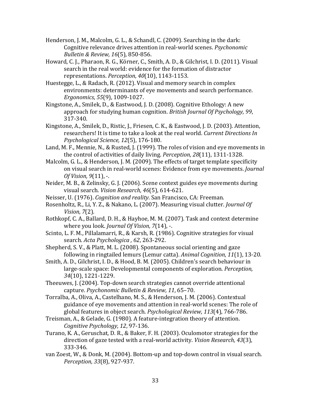- Henderson, J. M., Malcolm, G. L., & Schandl, C. (2009). Searching in the dark: Cognitive relevance drives attention in real-world scenes. *Psychonomic Bulletin&&&Review,&16*(5),"850?856.
- Howard, C. J., Pharaon, R. G., Körner, C., Smith, A. D., & Gilchrist, I. D. (2011). Visual search in the real world: evidence for the formation of distractor representations."*Perception*,"*40*(10),"1143?1153.
- Huestegge, L., & Radach, R. (2012). Visual and memory search in complex environments: determinants of eye movements and search performance. *Ergonomics*, 55(9), 1009-1027.
- Kingstone, A., Smilek, D., & Eastwood, J. D. (2008). Cognitive Ethology: A new approach for studying human cognition. *British Journal Of Psychology*, 99, 317-340.
- Kingstone, A., Smilek, D., Ristic, J., Friesen, C. K., & Eastwood, J. D. (2003). Attention, researchers! It is time to take a look at the real world. *Current Directions In Psychological Science, 12*(5), 176-180.
- Land, M. F., Mennie, N., & Rusted, J. (1999). The roles of vision and eye movements in the control of activities of daily living. *Perception, 28*(11), 1311-1328.
- Malcolm, G. L., & Henderson, J. M. (2009). The effects of target template specificity on visual search in real-world scenes: Evidence from eye movements. *Journal Of Vision, 9*(11), -.
- Neider, M. B., & Zelinsky, G. J. (2006). Scene context guides eye movements during visual search. *Vision Research, 46*(5), 614-621.
- Neisser, U. (1976). *Cognition and reality*. San Francisco, CA: Freeman.
- Rosenholtz, R., Li, Y. Z., & Nakano, L. (2007). Measuring visual clutter. *Journal Of Vision, 7*(2).
- Rothkopf, C. A., Ballard, D. H., & Hayhoe, M. M. (2007). Task and context determine where you look. *Journal Of Vision*, 7(14), -.
- Scinto, L. F. M., Pillalamarri, R., & Karsh, R. (1986). Cognitive strategies for visual search. Acta Psychologica, 62, 263-292.
- Shepherd, S. V., & Platt, M. L. (2008). Spontaneous social orienting and gaze following in ringtailed lemurs (Lemur catta). *Animal Cognition, 11*(1), 13-20.
- Smith, A. D., Gilchrist, I. D., & Hood, B. M. (2005). Children's search behaviour in large-scale space: Developmental components of exploration. *Perception*, 34(10), 1221-1229.
- Theeuwes, J. (2004). Top-down search strategies cannot override attentional capture. *Psychonomic Bulletin & Review, 11*, 65–70.
- Torralba, A., Oliva, A., Castelhano, M. S., & Henderson, J. M. (2006). Contextual guidance of eye movements and attention in real-world scenes: The role of global features in object search. *Psychological Review, 113*(4), 766-786.
- Treisman, A., & Gelade, G. (1980). A feature-integration theory of attention. *Cognitive Psychology, 12, 97-136.*
- Turano, K. A., Geruschat, D. R., & Baker, F. H. (2003). Oculomotor strategies for the direction of gaze tested with a real-world activity. *Vision Research, 43*(3), 333?346.
- van Zoest, W., & Donk, M. (2004). Bottom-up and top-down control in visual search. *Perception, 33*(8), 927-937.